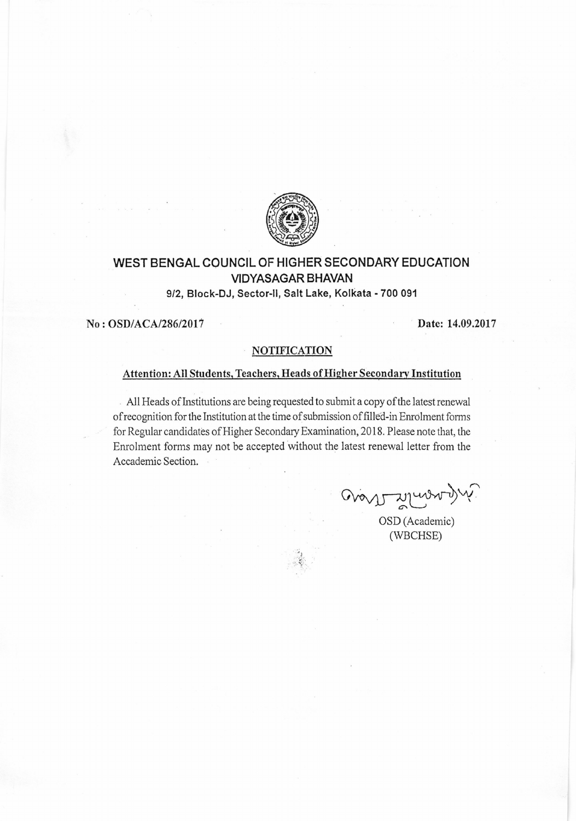

# WEST BENGAL COUNGIL OF HIGHER SECONDARY EDUCATION VIDYASAGAR BHAVAN

912, Block'DJ, Sector-ll, Salt Lake, Kolkata - 700 091

No: OSD/ACA/286/2017 Date: 14.09.2017

## NOTIFICATION

### Attention: All Students, Teachers, Heads of Higher Secondary Institution

All Heads of Institutions are being requested to submit a copy of the latest renewal ofrecognition for the lnstitution at the time of submission of filled-in Enrdhnent forms for Regular candidates of Higher Secondary Examination, 2018. Please note that, the Enrolment forms may not be accepted without the latest renewal letter from the Accademic Section.

avant Monarchiers

OSD (Academic) (wBCHSE)